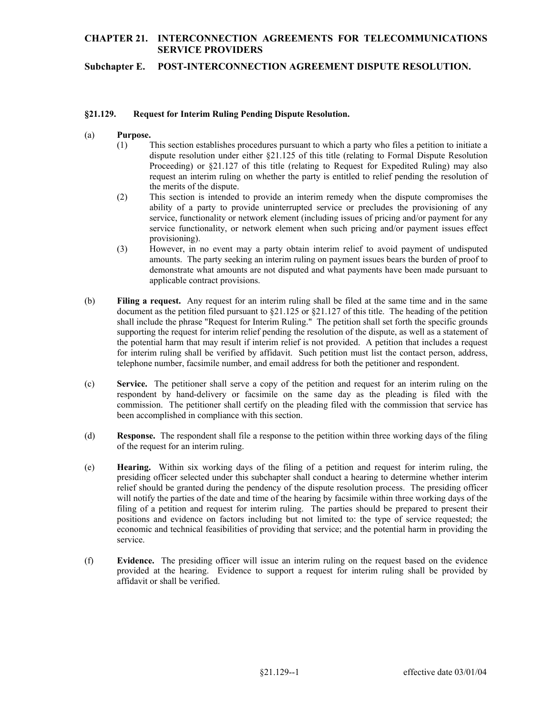# **CHAPTER 21. INTERCONNECTION AGREEMENTS FOR TELECOMMUNICATIONS SERVICE PROVIDERS**

**Subchapter E. POST-INTERCONNECTION AGREEMENT DISPUTE RESOLUTION.**

#### **§21.129. Request for Interim Ruling Pending Dispute Resolution.**

- (a) **Purpose.** 
	- request an interim ruling on whether the party is entitled to relief pending the resolution of (1) This section establishes procedures pursuant to which a party who files a petition to initiate a dispute resolution under either §21.125 of this title (relating to Formal Dispute Resolution Proceeding) or §21.127 of this title (relating to Request for Expedited Ruling) may also the merits of the dispute.
	- ability of a party to provide uninterrupted service or precludes the provisioning of any service functionality, or network element when such pricing and/or payment issues effect (2) This section is intended to provide an interim remedy when the dispute compromises the service, functionality or network element (including issues of pricing and/or payment for any provisioning).
	- (3) However, in no event may a party obtain interim relief to avoid payment of undisputed amounts. The party seeking an interim ruling on payment issues bears the burden of proof to demonstrate what amounts are not disputed and what payments have been made pursuant to applicable contract provisions.
- (b) **Filing a request.** Any request for an interim ruling shall be filed at the same time and in the same document as the petition filed pursuant to §21.125 or §21.127 of this title. The heading of the petition shall include the phrase "Request for Interim Ruling." The petition shall set forth the specific grounds supporting the request for interim relief pending the resolution of the dispute, as well as a statement of the potential harm that may result if interim relief is not provided. A petition that includes a request for interim ruling shall be verified by affidavit. Such petition must list the contact person, address, telephone number, facsimile number, and email address for both the petitioner and respondent.
- (c) **Service.** The petitioner shall serve a copy of the petition and request for an interim ruling on the respondent by hand-delivery or facsimile on the same day as the pleading is filed with the commission. The petitioner shall certify on the pleading filed with the commission that service has been accomplished in compliance with this section.
- (d) **Response.** The respondent shall file a response to the petition within three working days of the filing of the request for an interim ruling.
- (e) **Hearing.** Within six working days of the filing of a petition and request for interim ruling, the filing of a petition and request for interim ruling. The parties should be prepared to present their positions and evidence on factors including but not limited to: the type of service requested; the presiding officer selected under this subchapter shall conduct a hearing to determine whether interim relief should be granted during the pendency of the dispute resolution process. The presiding officer will notify the parties of the date and time of the hearing by facsimile within three working days of the economic and technical feasibilities of providing that service; and the potential harm in providing the service.
- (f) **Evidence.** The presiding officer will issue an interim ruling on the request based on the evidence provided at the hearing. Evidence to support a request for interim ruling shall be provided by affidavit or shall be verified.